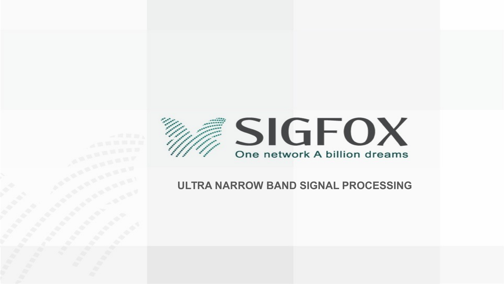

## **ULTRA NARROW BAND SIGNAL PROCESSING**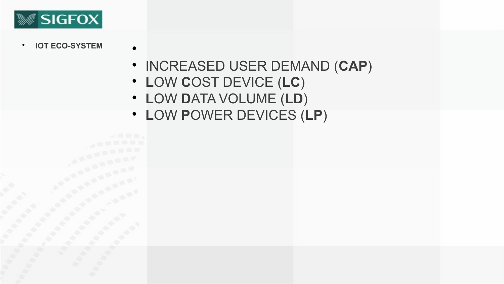

### **IOT ECO-SYSTEM**

- INCREASED USER DEMAND (**CAP**)
- **L**OW **C**OST DEVICE (**LC**)
- **L**OW **D**ATA VOLUME (**LD**)
- **L**OW **P**OWER DEVICES (**LP**)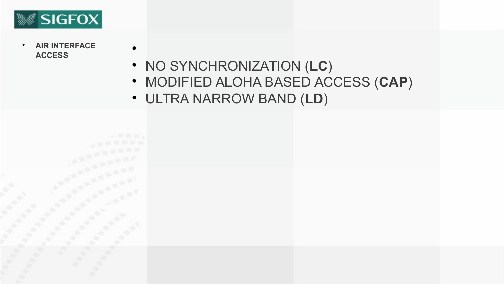

 **AIR INTERFACE ACCESS**

- NO SYNCHRONIZATION (**LC**)
- MODIFIED ALOHA BASED ACCESS (**CAP**)
- ULTRA NARROW BAND (**LD**)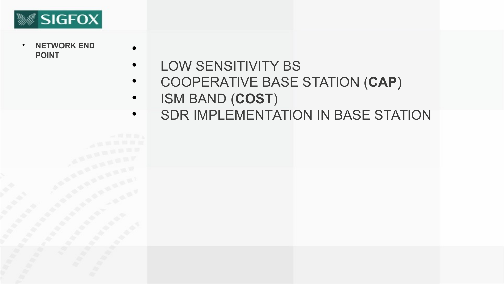

 **NETWORK END POINT**

- LOW SENSITIVITY BS
- COOPERATIVE BASE STATION (**CAP**)
- ISM BAND (**COST**)
- SDR IMPLEMENTATION IN BASE STATION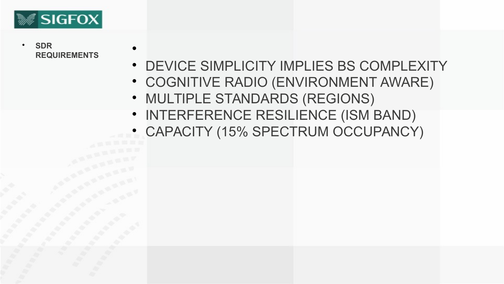

#### **SDR REQUIREMENTS**

- DEVICE SIMPLICITY IMPLIES BS COMPLEXITY
- COGNITIVE RADIO (ENVIRONMENT AWARE)
- MULTIPLE STANDARDS (REGIONS)
- INTERFERENCE RESILIENCE (ISM BAND)
- CAPACITY (15% SPECTRUM OCCUPANCY)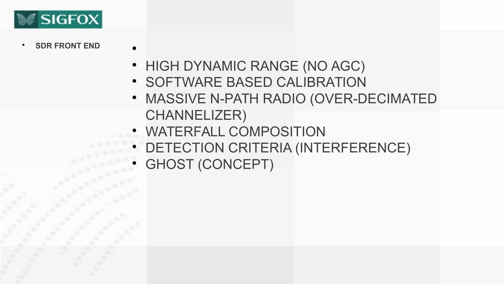

#### **SDR FRONT END**

- HIGH DYNAMIC RANGE (NO AGC)
- **SOFTWARE BASED CALIBRATION**
- MASSIVE N-PATH RADIO (OVER-DECIMATED CHANNELIZER)
- WATERFALL COMPOSITION
- DETECTION CRITERIA (INTERFERENCE)
- GHOST (CONCEPT)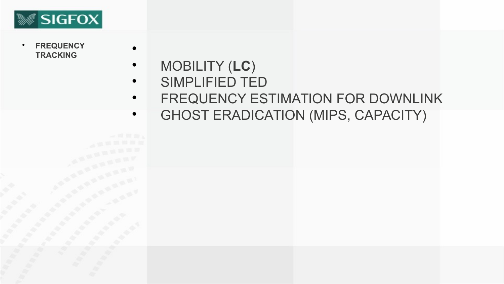

 **FREQUENCY TRACKING**

MOBILITY (**LC**)

- SIMPLIFIED TED
- FREQUENCY ESTIMATION FOR DOWNLINK
- GHOST ERADICATION (MIPS, CAPACITY)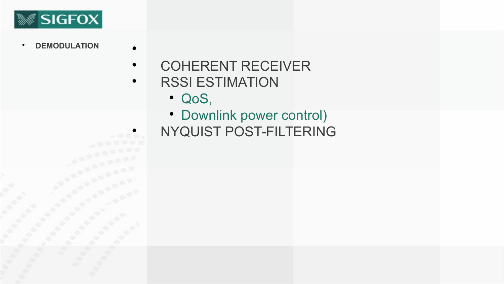

**•** DEMODULATION

- COHERENT RECEIVER
- RSSI ESTIMATION
	- QoS,
	- Downlink power control)
	- NYQUIST POST-FILTERING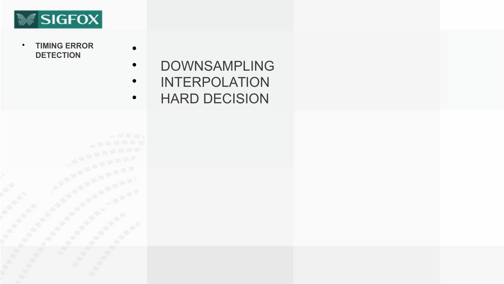

 **TIMING ERROR DETECTION**

- **DOWNSAMPLING**
- **INTERPOLATION**
- **HARD DECISION**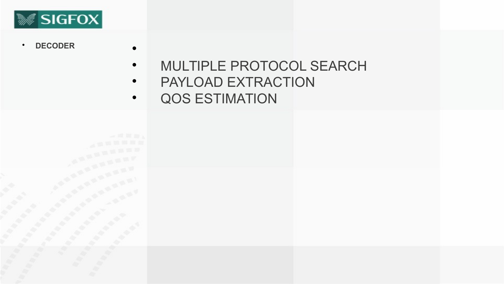

#### **DECODER**

- MULTIPLE PROTOCOL SEARCH
- PAYLOAD EXTRACTION
- QOS ESTIMATION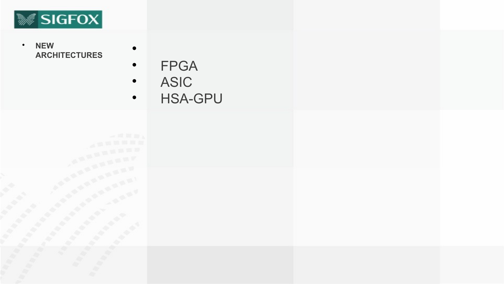

 **NEW ARCHITECTURES**

- •<br>• FPGA
- ASIC
- HSA-GPU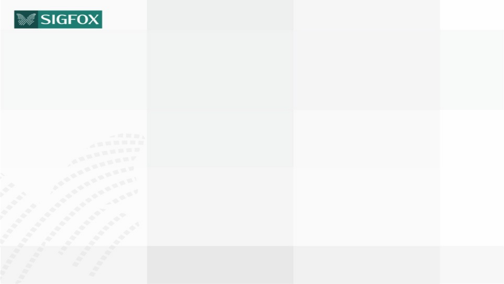

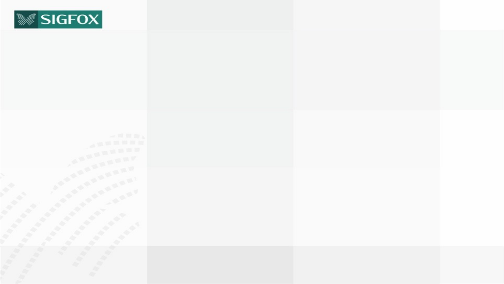

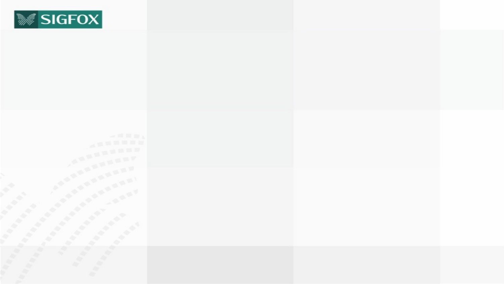

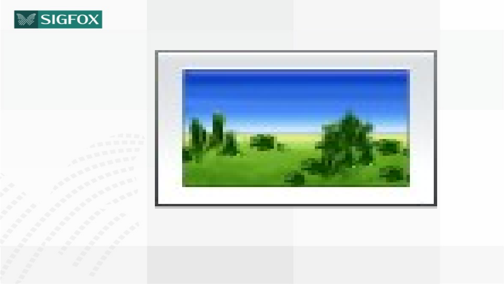